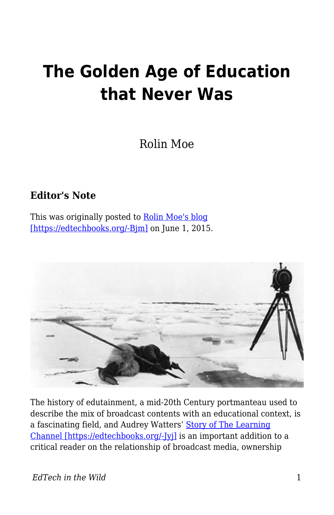## **The Golden Age of Education that Never Was**

Rolin Moe

## **Editor's Note**

This was originally posted to [Rolin Moe's blog](http://edutechnicalities.com/articles/the-golden-age-of-education-that-never-was/) [\[https://edtechbooks.org/-Bjm\]](http://edutechnicalities.com/articles/the-golden-age-of-education-that-never-was/) on June 1, 2015.



The history of edutainment, a mid-20th Century portmanteau used to describe the mix of broadcast contents with an educational context, is a fascinating field, and Audrey Watters' [Story of The Learning](http://hackeducation.com/2015/05/30/the-learning-channel/) [Channel \[https://edtechbooks.org/-Jyj\]](http://hackeducation.com/2015/05/30/the-learning-channel/) is an important addition to a critical reader on the relationship of broadcast media, ownership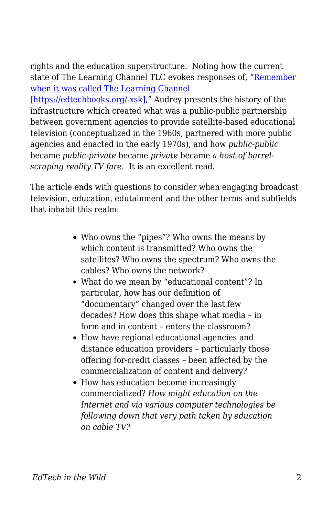rights and the education superstructure. Noting how the current state of The Learning Channel TLC evokes responses of, ["Remember](http://www.aol.com/article/2015/05/25/remember-when-tlc-used-to-be-called-the-learning-channel/21186889/) [when it was called The Learning Channel](http://www.aol.com/article/2015/05/25/remember-when-tlc-used-to-be-called-the-learning-channel/21186889/)

[\[https://edtechbooks.org/-xsk\],](http://www.aol.com/article/2015/05/25/remember-when-tlc-used-to-be-called-the-learning-channel/21186889/)" Audrey presents the history of the infrastructure which created what was a public-public partnership between government agencies to provide satellite-based educational television (conceptualized in the 1960s, partnered with more public agencies and enacted in the early 1970s), and how *public-public* became *public-private* became *private* became *a host of barrelscraping reality TV fare*. It is an excellent read.

The article ends with questions to consider when engaging broadcast television, education, edutainment and the other terms and subfields that inhabit this realm:

- Who owns the "pipes"? Who owns the means by which content is transmitted? Who owns the satellites? Who owns the spectrum? Who owns the cables? Who owns the network?
- What do we mean by "educational content"? In particular, how has our definition of "documentary" changed over the last few decades? How does this shape what media – in form and in content – enters the classroom?
- How have regional educational agencies and distance education providers – particularly those offering for-credit classes – been affected by the commercialization of content and delivery?
- How has education become increasingly commercialized? *How might education on the Internet and via various computer technologies be following down that very path taken by education on cable TV?*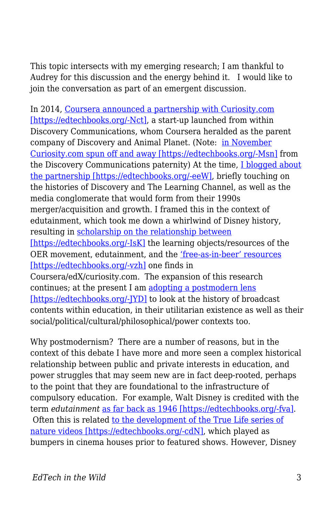This topic intersects with my emerging research; I am thankful to Audrey for this discussion and the energy behind it. I would like to join the conversation as part of an emergent discussion.

In 2014, [Coursera announced a partnership with Curiosity.com](http://blog.coursera.org/post/73302211026/now-explore-coursera-courses-on-discovery) [\[https://edtechbooks.org/-Nct\],](http://blog.coursera.org/post/73302211026/now-explore-coursera-courses-on-discovery) a start-up launched from within Discovery Communications, whom Coursera heralded as the parent company of Discovery and Animal Planet. (Note: [in November](http://chicagoinno.streetwise.co/2014/11/11/curiosity-com-raises-6-million-spins-off-of-discovery/) [Curiosity.com spun off and away \[https://edtechbooks.org/-Msn\]](http://chicagoinno.streetwise.co/2014/11/11/curiosity-com-raises-6-million-spins-off-of-discovery/) from the Discovery Communications paternity) At the time, [I blogged about](https://allmoocs.wordpress.com/2014/01/22/moocbusters/) [the partnership \[https://edtechbooks.org/-eeW\]](https://allmoocs.wordpress.com/2014/01/22/moocbusters/), briefly touching on the histories of Discovery and The Learning Channel, as well as the media conglomerate that would form from their 1990s merger/acquisition and growth. I framed this in the context of edutainment, which took me down a whirlwind of Disney history, resulting in [scholarship on the relationship between](http://www.tandfonline.com/doi/abs/10.1080/17439884.2015.1029942?journalCode=cjem20) [\[https://edtechbooks.org/-IsK\]](http://www.tandfonline.com/doi/abs/10.1080/17439884.2015.1029942?journalCode=cjem20) the learning objects/resources of the OER movement, edutainment, and the ['free-as-in-beer' resources](https://www.google.com/url?sa=t&rct=j&q=&esrc=s&source=web&cd=2&ved=0CCQQFjAB&url=http%3A%2F%2Fwww.kalmans.com%2FKalman_ICA2014_Precon.docx&ei=hrJsVdyXKo7xoASbpYP4DQ&usg=AFQjCNHII6ro9KeXtNGpqHyRb0c05yOXag&bvm=bv.94455598,d.cGU) [\[https://edtechbooks.org/-vzh\]](https://www.google.com/url?sa=t&rct=j&q=&esrc=s&source=web&cd=2&ved=0CCQQFjAB&url=http%3A%2F%2Fwww.kalmans.com%2FKalman_ICA2014_Precon.docx&ei=hrJsVdyXKo7xoASbpYP4DQ&usg=AFQjCNHII6ro9KeXtNGpqHyRb0c05yOXag&bvm=bv.94455598,d.cGU) one finds in Coursera/edX/curiosity.com. The expansion of this research continues; at the present I am [adopting a postmodern lens](http://edutechnicalities.com/articles/a-philosophical-supplement-to-the-oer-movement-thoughts-on-et4online-presentation/) [\[https://edtechbooks.org/-JYD\]](http://edutechnicalities.com/articles/a-philosophical-supplement-to-the-oer-movement-thoughts-on-et4online-presentation/) to look at the history of broadcast contents within education, in their utilitarian existence as well as their social/political/cultural/philosophical/power contexts too.

Why postmodernism? There are a number of reasons, but in the context of this debate I have more and more seen a complex historical relationship between public and private interests in education, and power struggles that may seem new are in fact deep-rooted, perhaps to the point that they are foundational to the infrastructure of compulsory education. For example, Walt Disney is credited with the term *edutainment* [as far back as 1946 \[https://edtechbooks.org/-fva\]](http://www.academia.edu/1694750/One_Hemisphere_After_All_Latin_America_in_Disney_Edutainment_Films_1942-1946). Often this is related [to the development of the True Life series of](http://prizedwriting.ucdavis.edu/past/2003-2004/nature-as-201cedutainment201d-the-baby-boomer-generation-does-disneyland) [nature videos \[https://edtechbooks.org/-cdN\]](http://prizedwriting.ucdavis.edu/past/2003-2004/nature-as-201cedutainment201d-the-baby-boomer-generation-does-disneyland), which played as bumpers in cinema houses prior to featured shows. However, Disney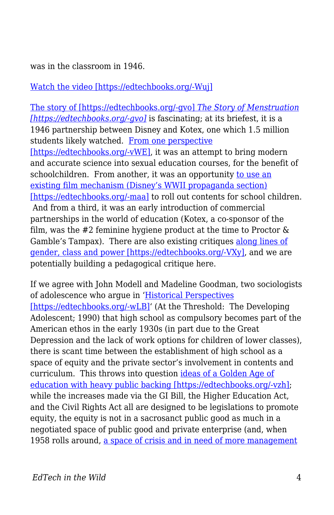was in the classroom in 1946.

[Watch the video \[https://edtechbooks.org/-Wuj\]](http://www.criticalcommons.org/Members/robemoco/clips/a-history-of-edutainment/embed_view)

[The story of \[https://edtechbooks.org/-gvo\]](http://en.wikipedia.org/wiki/The_Story_of_Menstruation) *[The Story of Menstruation](http://en.wikipedia.org/wiki/The_Story_of_Menstruation) [\[https://edtechbooks.org/-gvo\]](http://en.wikipedia.org/wiki/The_Story_of_Menstruation)* is fascinating; at its briefest, it is a 1946 partnership between Disney and Kotex, one which 1.5 million students likely watched. [From one perspective](https://books.google.com/books?id=xlPNB5HpRDIC&pg=PA121&dq=%22The+Story+of+Menstruation%22&hl=en#v=onepage&q=%22The%20Story%20of%20Menstruation%22&f=false) [\[https://edtechbooks.org/-vWE\]](https://books.google.com/books?id=xlPNB5HpRDIC&pg=PA121&dq=%22The+Story+of+Menstruation%22&hl=en#v=onepage&q=%22The%20Story%20of%20Menstruation%22&f=false), it was an attempt to bring modern and accurate science into sexual education courses, for the benefit of schoolchildren. From another, it was an opportunity [to use an](http://jimhillmedia.com/alumni1/b/wade_sampson/archive/2005/01/12/1241.aspx) [existing film mechanism \(Disney's WWII propaganda section\)](http://jimhillmedia.com/alumni1/b/wade_sampson/archive/2005/01/12/1241.aspx) [\[https://edtechbooks.org/-maa\]](http://jimhillmedia.com/alumni1/b/wade_sampson/archive/2005/01/12/1241.aspx) to roll out contents for school children. And from a third, it was an early introduction of commercial partnerships in the world of education (Kotex, a co-sponsor of the film, was the #2 feminine hygiene product at the time to Proctor & Gamble's Tampax). There are also existing critiques [along lines of](https://books.google.com/books?id=PWA0yisYPnEC&pg=PA121&dq=%22The+Story+of+Menstruation%22&hl=en#v=onepage&q=%22The%20Story%20of%20Menstruation%22&f=false) [gender, class and power \[https://edtechbooks.org/-VXy\],](https://books.google.com/books?id=PWA0yisYPnEC&pg=PA121&dq=%22The+Story+of+Menstruation%22&hl=en#v=onepage&q=%22The%20Story%20of%20Menstruation%22&f=false) and we are potentially building a pedagogical critique here.

If we agree with John Modell and Madeline Goodman, two sociologists of adolescence who argue in '[Historical Perspectives](https://books.google.com/books?id=De-QadXlOooC&pg=PA93&lpg=PA93&dq=modell+and+goodman+historical+perspectives&source=bl&ots=Jiu1_ktDAK&sig=YFCv5Z47hEynLcpUeGIl2U87-1U&hl=en&sa=X&ei=AqJsVdGxD4TIogTCwYGIBA&ved=0CCQQ6AEwAA#v=onepage&q=modell%20and%20goodman%20historical%20perspectives&f=false) [\[https://edtechbooks.org/-wLB\]'](https://books.google.com/books?id=De-QadXlOooC&pg=PA93&lpg=PA93&dq=modell+and+goodman+historical+perspectives&source=bl&ots=Jiu1_ktDAK&sig=YFCv5Z47hEynLcpUeGIl2U87-1U&hl=en&sa=X&ei=AqJsVdGxD4TIogTCwYGIBA&ved=0CCQQ6AEwAA#v=onepage&q=modell%20and%20goodman%20historical%20perspectives&f=false) (At the Threshold: The Developing Adolescent; 1990) that high school as compulsory becomes part of the American ethos in the early 1930s (in part due to the Great Depression and the lack of work options for children of lower classes), there is scant time between the establishment of high school as a space of equity and the private sector's involvement in contents and curriculum. This throws into question [ideas of a Golden Age of](https://www.google.com/url?sa=t&rct=j&q=&esrc=s&source=web&cd=2&ved=0CCQQFjAB&url=http%3A%2F%2Fwww.kalmans.com%2FKalman_ICA2014_Precon.docx&ei=hrJsVdyXKo7xoASbpYP4DQ&usg=AFQjCNHII6ro9KeXtNGpqHyRb0c05yOXag&bvm=bv.94455598,d.cGU) [education with heavy public backing \[https://edtechbooks.org/-vzh\]](https://www.google.com/url?sa=t&rct=j&q=&esrc=s&source=web&cd=2&ved=0CCQQFjAB&url=http%3A%2F%2Fwww.kalmans.com%2FKalman_ICA2014_Precon.docx&ei=hrJsVdyXKo7xoASbpYP4DQ&usg=AFQjCNHII6ro9KeXtNGpqHyRb0c05yOXag&bvm=bv.94455598,d.cGU); while the increases made via the GI Bill, the Higher Education Act, and the Civil Rights Act all are designed to be legislations to promote equity, the equity is not in a sacrosanct public good as much in a negotiated space of public good and private enterprise (and, when 1958 rolls around, [a space of crisis and in need of more management](http://www.nytimes.com/2008/01/14/opinion/14iht-edgardner.1.9196672.html?_r=0)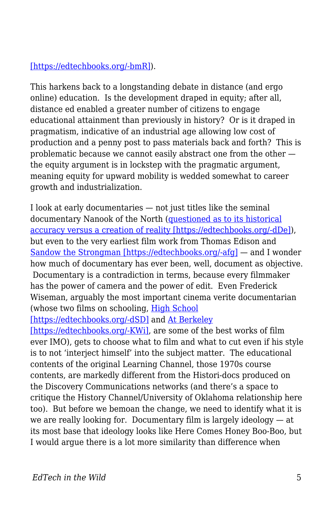## [\[https://edtechbooks.org/-bmR\]](http://www.nytimes.com/2008/01/14/opinion/14iht-edgardner.1.9196672.html?_r=0)).

This harkens back to a longstanding debate in distance (and ergo online) education. Is the development draped in equity; after all, distance ed enabled a greater number of citizens to engage educational attainment than previously in history? Or is it draped in pragmatism, indicative of an industrial age allowing low cost of production and a penny post to pass materials back and forth? This is problematic because we cannot easily abstract one from the other the equity argument is in lockstep with the pragmatic argument, meaning equity for upward mobility is wedded somewhat to career growth and industrialization.

I look at early documentaries — not just titles like the seminal documentary Nanook of the North ([questioned as to its historical](http://www.afana.org/leacockessays.htm) [accuracy versus a creation of reality \[https://edtechbooks.org/-dDe\]\)](http://www.afana.org/leacockessays.htm), but even to the very earliest film work from Thomas Edison and [Sandow the Strongman \[https://edtechbooks.org/-afg\]](https://www.youtube.com/watch?v=570r67gGhfs) — and I wonder how much of documentary has ever been, well, document as objective. Documentary is a contradiction in terms, because every filmmaker has the power of camera and the power of edit. Even Frederick Wiseman, arguably the most important cinema verite documentarian (whose two films on schooling, [High School](http://www.zipporah.com/films/21)

[\[https://edtechbooks.org/-dSD\]](http://www.zipporah.com/films/21) and [At Berkeley](http://www.zipporah.com/films/atberkeley)

[\[https://edtechbooks.org/-KWi\]](http://www.zipporah.com/films/atberkeley), are some of the best works of film ever IMO), gets to choose what to film and what to cut even if his style is to not 'interject himself' into the subject matter. The educational contents of the original Learning Channel, those 1970s course contents, are markedly different from the Histori-docs produced on the Discovery Communications networks (and there's a space to critique the History Channel/University of Oklahoma relationship here too). But before we bemoan the change, we need to identify what it is we are really looking for. Documentary film is largely ideology — at its most base that ideology looks like Here Comes Honey Boo-Boo, but I would argue there is a lot more similarity than difference when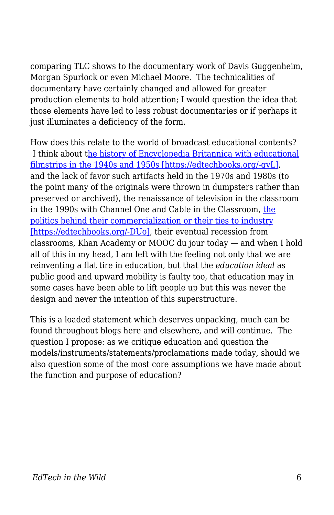comparing TLC shows to the documentary work of Davis Guggenheim, Morgan Spurlock or even Michael Moore. The technicalities of documentary have certainly changed and allowed for greater production elements to hold attention; I would question the idea that those elements have led to less robust documentaries or if perhaps it just illuminates a deficiency of the form.

How does this relate to the world of broadcast educational contents? I think about [the history of Encyclopedia Britannica with educational](http://www.kaye.com/miscellany/EBFhx.htm) [filmstrips in the 1940s and 1950s \[https://edtechbooks.org/-qvL\]](http://www.kaye.com/miscellany/EBFhx.htm), and the lack of favor such artifacts held in the 1970s and 1980s (to the point many of the originals were thrown in dumpsters rather than preserved or archived), the renaissance of television in the classroom in the 1990s with Channel One and Cable in the Classroom, [the](http://www.ascd.org/publications/educational-leadership/may93/vol50/num08/Channel-One@-Good-or-Bad-News-for-Our-Schools%C2%A2.aspx) [politics behind their commercialization or their ties to industry](http://www.ascd.org/publications/educational-leadership/may93/vol50/num08/Channel-One@-Good-or-Bad-News-for-Our-Schools%C2%A2.aspx) [\[https://edtechbooks.org/-DUo\],](http://www.ascd.org/publications/educational-leadership/may93/vol50/num08/Channel-One@-Good-or-Bad-News-for-Our-Schools%C2%A2.aspx) their eventual recession from classrooms, Khan Academy or MOOC du jour today — and when I hold all of this in my head, I am left with the feeling not only that we are reinventing a flat tire in education, but that the *education ideal* as public good and upward mobility is faulty too, that education may in some cases have been able to lift people up but this was never the design and never the intention of this superstructure.

This is a loaded statement which deserves unpacking, much can be found throughout blogs here and elsewhere, and will continue. The question I propose: as we critique education and question the models/instruments/statements/proclamations made today, should we also question some of the most core assumptions we have made about the function and purpose of education?